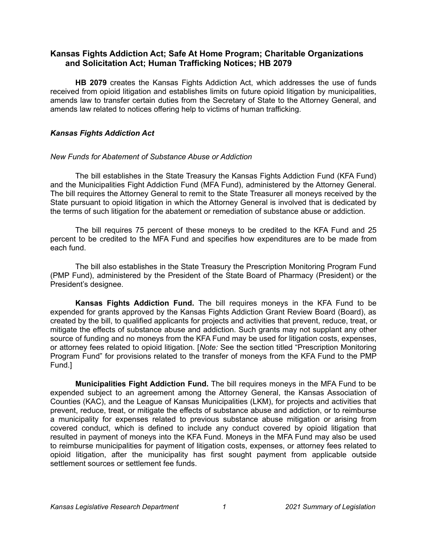# **Kansas Fights Addiction Act; Safe At Home Program; Charitable Organizations and Solicitation Act; Human Trafficking Notices; HB 2079**

**HB 2079** creates the Kansas Fights Addiction Act, which addresses the use of funds received from opioid litigation and establishes limits on future opioid litigation by municipalities, amends law to transfer certain duties from the Secretary of State to the Attorney General, and amends law related to notices offering help to victims of human trafficking.

## *Kansas Fights Addiction Act*

## *New Funds for Abatement of Substance Abuse or Addiction*

The bill establishes in the State Treasury the Kansas Fights Addiction Fund (KFA Fund) and the Municipalities Fight Addiction Fund (MFA Fund), administered by the Attorney General. The bill requires the Attorney General to remit to the State Treasurer all moneys received by the State pursuant to opioid litigation in which the Attorney General is involved that is dedicated by the terms of such litigation for the abatement or remediation of substance abuse or addiction.

The bill requires 75 percent of these moneys to be credited to the KFA Fund and 25 percent to be credited to the MFA Fund and specifies how expenditures are to be made from each fund.

The bill also establishes in the State Treasury the Prescription Monitoring Program Fund (PMP Fund), administered by the President of the State Board of Pharmacy (President) or the President's designee.

**Kansas Fights Addiction Fund.** The bill requires moneys in the KFA Fund to be expended for grants approved by the Kansas Fights Addiction Grant Review Board (Board), as created by the bill, to qualified applicants for projects and activities that prevent, reduce, treat, or mitigate the effects of substance abuse and addiction. Such grants may not supplant any other source of funding and no moneys from the KFA Fund may be used for litigation costs, expenses, or attorney fees related to opioid litigation. [*Note:* See the section titled "Prescription Monitoring Program Fund" for provisions related to the transfer of moneys from the KFA Fund to the PMP Fund.]

**Municipalities Fight Addiction Fund.** The bill requires moneys in the MFA Fund to be expended subject to an agreement among the Attorney General, the Kansas Association of Counties (KAC), and the League of Kansas Municipalities (LKM), for projects and activities that prevent, reduce, treat, or mitigate the effects of substance abuse and addiction, or to reimburse a municipality for expenses related to previous substance abuse mitigation or arising from covered conduct, which is defined to include any conduct covered by opioid litigation that resulted in payment of moneys into the KFA Fund. Moneys in the MFA Fund may also be used to reimburse municipalities for payment of litigation costs, expenses, or attorney fees related to opioid litigation, after the municipality has first sought payment from applicable outside settlement sources or settlement fee funds.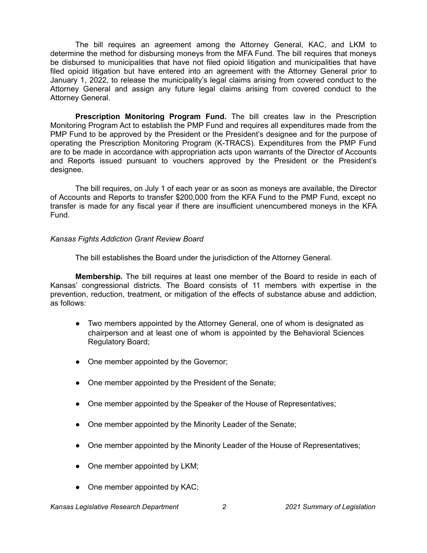The bill requires an agreement among the Attorney General, KAC, and LKM to determine the method for disbursing moneys from the MFA Fund. The bill requires that moneys be disbursed to municipalities that have not filed opioid litigation and municipalities that have filed opioid litigation but have entered into an agreement with the Attorney General prior to January 1, 2022, to release the municipality's legal claims arising from covered conduct to the Attorney General and assign any future legal claims arising from covered conduct to the Attorney General.

**Prescription Monitoring Program Fund.** The bill creates law in the Prescription Monitoring Program Act to establish the PMP Fund and requires all expenditures made from the PMP Fund to be approved by the President or the President's designee and for the purpose of operating the Prescription Monitoring Program (K-TRACS). Expenditures from the PMP Fund are to be made in accordance with appropriation acts upon warrants of the Director of Accounts and Reports issued pursuant to vouchers approved by the President or the President's designee.

The bill requires, on July 1 of each year or as soon as moneys are available, the Director of Accounts and Reports to transfer \$200,000 from the KFA Fund to the PMP Fund, except no transfer is made for any fiscal year if there are insufficient unencumbered moneys in the KFA Fund.

### *Kansas Fights Addiction Grant Review Board*

The bill establishes the Board under the jurisdiction of the Attorney General.

**Membership.** The bill requires at least one member of the Board to reside in each of Kansas' congressional districts. The Board consists of 11 members with expertise in the prevention, reduction, treatment, or mitigation of the effects of substance abuse and addiction, as follows:

- Two members appointed by the Attorney General, one of whom is designated as chairperson and at least one of whom is appointed by the Behavioral Sciences Regulatory Board;
- One member appointed by the Governor;
- One member appointed by the President of the Senate;
- One member appointed by the Speaker of the House of Representatives;
- One member appointed by the Minority Leader of the Senate;
- One member appointed by the Minority Leader of the House of Representatives;
- One member appointed by LKM;
- One member appointed by KAC;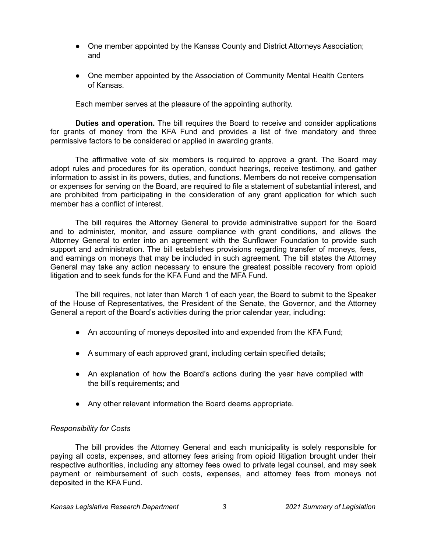- One member appointed by the Kansas County and District Attorneys Association; and
- One member appointed by the Association of Community Mental Health Centers of Kansas.

Each member serves at the pleasure of the appointing authority.

**Duties and operation.** The bill requires the Board to receive and consider applications for grants of money from the KFA Fund and provides a list of five mandatory and three permissive factors to be considered or applied in awarding grants.

The affirmative vote of six members is required to approve a grant. The Board may adopt rules and procedures for its operation, conduct hearings, receive testimony, and gather information to assist in its powers, duties, and functions. Members do not receive compensation or expenses for serving on the Board, are required to file a statement of substantial interest, and are prohibited from participating in the consideration of any grant application for which such member has a conflict of interest.

The bill requires the Attorney General to provide administrative support for the Board and to administer, monitor, and assure compliance with grant conditions, and allows the Attorney General to enter into an agreement with the Sunflower Foundation to provide such support and administration. The bill establishes provisions regarding transfer of moneys, fees, and earnings on moneys that may be included in such agreement. The bill states the Attorney General may take any action necessary to ensure the greatest possible recovery from opioid litigation and to seek funds for the KFA Fund and the MFA Fund.

The bill requires, not later than March 1 of each year, the Board to submit to the Speaker of the House of Representatives, the President of the Senate, the Governor, and the Attorney General a report of the Board's activities during the prior calendar year, including:

- An accounting of moneys deposited into and expended from the KFA Fund;
- A summary of each approved grant, including certain specified details;
- An explanation of how the Board's actions during the year have complied with the bill's requirements; and
- Any other relevant information the Board deems appropriate.

## *Responsibility for Costs*

The bill provides the Attorney General and each municipality is solely responsible for paying all costs, expenses, and attorney fees arising from opioid litigation brought under their respective authorities, including any attorney fees owed to private legal counsel, and may seek payment or reimbursement of such costs, expenses, and attorney fees from moneys not deposited in the KFA Fund.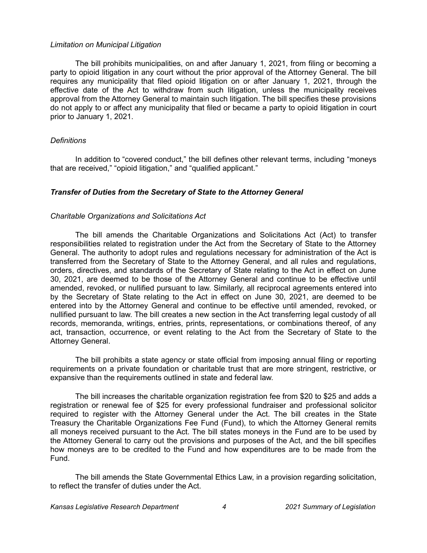#### *Limitation on Municipal Litigation*

The bill prohibits municipalities, on and after January 1, 2021, from filing or becoming a party to opioid litigation in any court without the prior approval of the Attorney General. The bill requires any municipality that filed opioid litigation on or after January 1, 2021, through the effective date of the Act to withdraw from such litigation, unless the municipality receives approval from the Attorney General to maintain such litigation. The bill specifies these provisions do not apply to or affect any municipality that filed or became a party to opioid litigation in court prior to January 1, 2021.

#### *Definitions*

In addition to "covered conduct," the bill defines other relevant terms, including "moneys that are received," "opioid litigation," and "qualified applicant."

### *Transfer of Duties from the Secretary of State to the Attorney General*

#### *Charitable Organizations and Solicitations Act*

The bill amends the Charitable Organizations and Solicitations Act (Act) to transfer responsibilities related to registration under the Act from the Secretary of State to the Attorney General. The authority to adopt rules and regulations necessary for administration of the Act is transferred from the Secretary of State to the Attorney General, and all rules and regulations, orders, directives, and standards of the Secretary of State relating to the Act in effect on June 30, 2021, are deemed to be those of the Attorney General and continue to be effective until amended, revoked, or nullified pursuant to law. Similarly, all reciprocal agreements entered into by the Secretary of State relating to the Act in effect on June 30, 2021, are deemed to be entered into by the Attorney General and continue to be effective until amended, revoked, or nullified pursuant to law. The bill creates a new section in the Act transferring legal custody of all records, memoranda, writings, entries, prints, representations, or combinations thereof, of any act, transaction, occurrence, or event relating to the Act from the Secretary of State to the Attorney General.

The bill prohibits a state agency or state official from imposing annual filing or reporting requirements on a private foundation or charitable trust that are more stringent, restrictive, or expansive than the requirements outlined in state and federal law.

The bill increases the charitable organization registration fee from \$20 to \$25 and adds a registration or renewal fee of \$25 for every professional fundraiser and professional solicitor required to register with the Attorney General under the Act. The bill creates in the State Treasury the Charitable Organizations Fee Fund (Fund), to which the Attorney General remits all moneys received pursuant to the Act. The bill states moneys in the Fund are to be used by the Attorney General to carry out the provisions and purposes of the Act, and the bill specifies how moneys are to be credited to the Fund and how expenditures are to be made from the Fund.

The bill amends the State Governmental Ethics Law, in a provision regarding solicitation, to reflect the transfer of duties under the Act.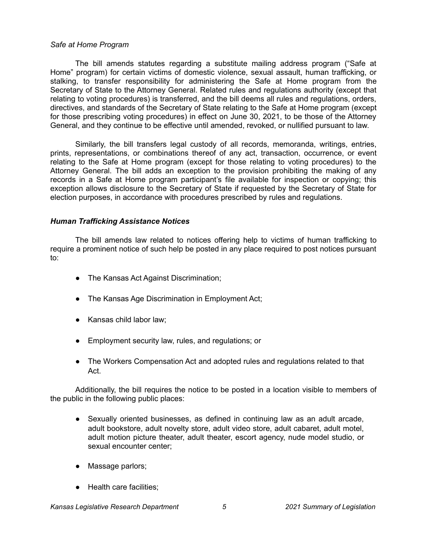#### *Safe at Home Program*

The bill amends statutes regarding a substitute mailing address program ("Safe at Home" program) for certain victims of domestic violence, sexual assault, human trafficking, or stalking, to transfer responsibility for administering the Safe at Home program from the Secretary of State to the Attorney General. Related rules and regulations authority (except that relating to voting procedures) is transferred, and the bill deems all rules and regulations, orders, directives, and standards of the Secretary of State relating to the Safe at Home program (except for those prescribing voting procedures) in effect on June 30, 2021, to be those of the Attorney General, and they continue to be effective until amended, revoked, or nullified pursuant to law.

Similarly, the bill transfers legal custody of all records, memoranda, writings, entries, prints, representations, or combinations thereof of any act, transaction, occurrence, or event relating to the Safe at Home program (except for those relating to voting procedures) to the Attorney General. The bill adds an exception to the provision prohibiting the making of any records in a Safe at Home program participant's file available for inspection or copying; this exception allows disclosure to the Secretary of State if requested by the Secretary of State for election purposes, in accordance with procedures prescribed by rules and regulations.

#### *Human Trafficking Assistance Notices*

The bill amends law related to notices offering help to victims of human trafficking to require a prominent notice of such help be posted in any place required to post notices pursuant to:

- The Kansas Act Against Discrimination;
- The Kansas Age Discrimination in Employment Act;
- Kansas child labor law;
- Employment security law, rules, and regulations; or
- The Workers Compensation Act and adopted rules and regulations related to that Act.

Additionally, the bill requires the notice to be posted in a location visible to members of the public in the following public places:

- Sexually oriented businesses, as defined in continuing law as an adult arcade, adult bookstore, adult novelty store, adult video store, adult cabaret, adult motel, adult motion picture theater, adult theater, escort agency, nude model studio, or sexual encounter center;
- Massage parlors;
- Health care facilities;